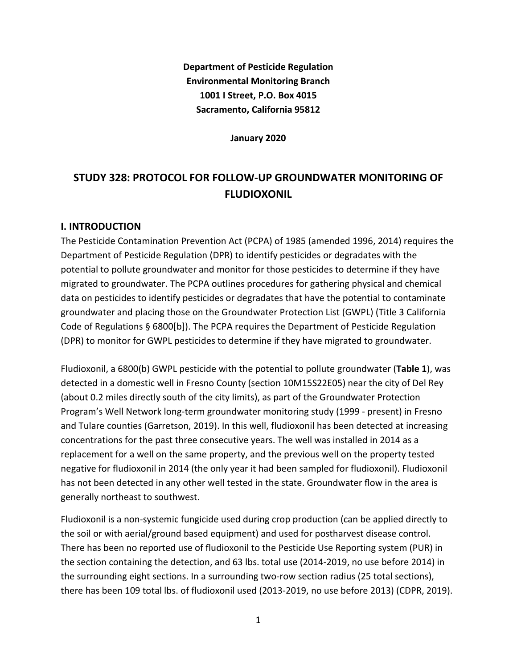**Department of Pesticide Regulation Environmental Monitoring Branch 1001 I Street, P.O. Box 4015 Sacramento, California 95812**

**January 2020**

# **STUDY 328: PROTOCOL FOR FOLLOW-UP GROUNDWATER MONITORING OF FLUDIOXONIL**

## **I. INTRODUCTION**

The Pesticide Contamination Prevention Act (PCPA) of 1985 (amended 1996, 2014) requires the Department of Pesticide Regulation (DPR) to identify pesticides or degradates with the potential to pollute groundwater and monitor for those pesticides to determine if they have migrated to groundwater. The PCPA outlines procedures for gathering physical and chemical data on pesticides to identify pesticides or degradates that have the potential to contaminate groundwater and placing those on the Groundwater Protection List (GWPL) (Title 3 California Code of Regulations § 6800[b]). The PCPA requires the Department of Pesticide Regulation (DPR) to monitor for GWPL pesticides to determine if they have migrated to groundwater.

Fludioxonil, a 6800(b) GWPL pesticide with the potential to pollute groundwater (**Table 1**), was detected in a domestic well in Fresno County (section 10M15S22E05) near the city of Del Rey (about 0.2 miles directly south of the city limits), as part of the Groundwater Protection Program's Well Network long-term groundwater monitoring study (1999 - present) in Fresno and Tulare counties (Garretson, 2019). In this well, fludioxonil has been detected at increasing concentrations for the past three consecutive years. The well was installed in 2014 as a replacement for a well on the same property, and the previous well on the property tested negative for fludioxonil in 2014 (the only year it had been sampled for fludioxonil). Fludioxonil has not been detected in any other well tested in the state. Groundwater flow in the area is generally northeast to southwest.

Fludioxonil is a non-systemic fungicide used during crop production (can be applied directly to the soil or with aerial/ground based equipment) and used for postharvest disease control. There has been no reported use of fludioxonil to the Pesticide Use Reporting system (PUR) in the section containing the detection, and 63 lbs. total use (2014-2019, no use before 2014) in the surrounding eight sections. In a surrounding two-row section radius (25 total sections), there has been 109 total lbs. of fludioxonil used (2013-2019, no use before 2013) (CDPR, 2019).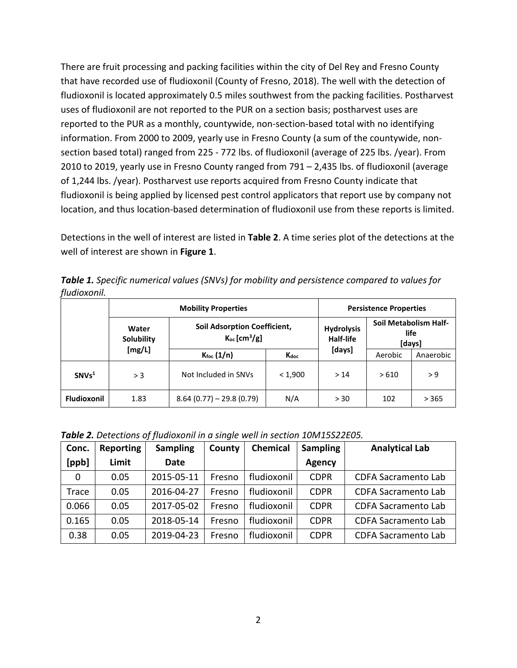There are fruit processing and packing facilities within the city of Del Rey and Fresno County that have recorded use of fludioxonil (County of Fresno, 2018). The well with the detection of fludioxonil is located approximately 0.5 miles southwest from the packing facilities. Postharvest uses of fludioxonil are not reported to the PUR on a section basis; postharvest uses are reported to the PUR as a monthly, countywide, non-section-based total with no identifying information. From 2000 to 2009, yearly use in Fresno County (a sum of the countywide, nonsection based total) ranged from 225 - 772 lbs. of fludioxonil (average of 225 lbs. /year). From 2010 to 2019, yearly use in Fresno County ranged from 791 – 2,435 lbs. of fludioxonil (average of 1,244 lbs. /year). Postharvest use reports acquired from Fresno County indicate that fludioxonil is being applied by licensed pest control applicators that report use by company not location, and thus location-based determination of fludioxonil use from these reports is limited.

Detections in the well of interest are listed in **[Table 2](#page-1-0)**. A time series plot of the detections at the well of interest are shown in **Figure 1**.

*Table 1. Specific numerical values (SNVs) for mobility and persistence compared to values for fludioxonil.*

|                    | <b>Mobility Properties</b>           |                                                                      |         | <b>Persistence Properties</b>  |                                         |           |
|--------------------|--------------------------------------|----------------------------------------------------------------------|---------|--------------------------------|-----------------------------------------|-----------|
|                    | Water<br><b>Solubility</b><br>[mg/L] | <b>Soil Adsorption Coefficient,</b><br>$K_{oc}$ [cm <sup>3</sup> /g] |         | <b>Hydrolysis</b><br>Half-life | Soil Metabolism Half-<br>life<br>[days] |           |
|                    |                                      | $K_{\text{foc}}(1/n)$                                                | Kdoc    | [days]                         | Aerobic                                 | Anaerobic |
| SNVs <sup>1</sup>  | > 3                                  | Not Included in SNVs                                                 | < 1,900 | >14                            | >610                                    | > 9       |
| <b>Fludioxonil</b> | 1.83                                 | $8.64(0.77) - 29.8(0.79)$                                            | N/A     | > 30                           | 102                                     | > 365     |

<span id="page-1-0"></span>*Table 2. Detections of fludioxonil in a single well in section 10M15S22E05.*

| Conc. | <b>Reporting</b> | <b>Sampling</b> | County | <b>Chemical</b> | <b>Sampling</b> | <b>Analytical Lab</b>      |
|-------|------------------|-----------------|--------|-----------------|-----------------|----------------------------|
| [ppb] | Limit            | Date            |        |                 | <b>Agency</b>   |                            |
| 0     | 0.05             | 2015-05-11      | Fresno | fludioxonil     | <b>CDPR</b>     | <b>CDFA Sacramento Lab</b> |
| Trace | 0.05             | 2016-04-27      | Fresno | fludioxonil     | <b>CDPR</b>     | <b>CDFA Sacramento Lab</b> |
| 0.066 | 0.05             | 2017-05-02      | Fresno | fludioxonil     | <b>CDPR</b>     | <b>CDFA Sacramento Lab</b> |
| 0.165 | 0.05             | 2018-05-14      | Fresno | fludioxonil     | <b>CDPR</b>     | <b>CDFA Sacramento Lab</b> |
| 0.38  | 0.05             | 2019-04-23      | Fresno | fludioxonil     | <b>CDPR</b>     | <b>CDFA Sacramento Lab</b> |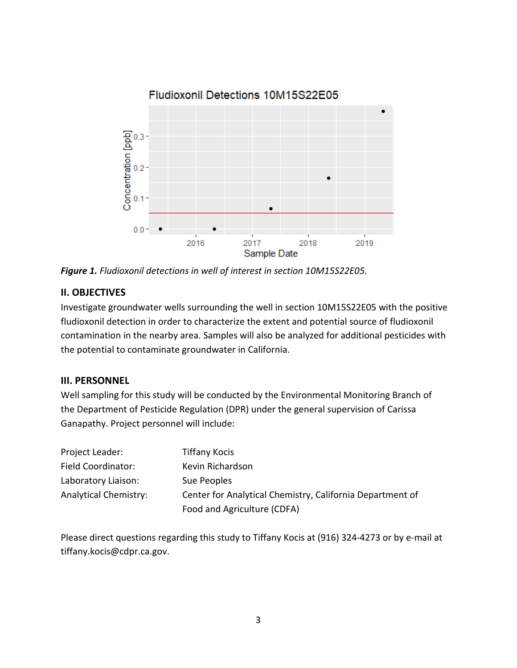

*Figure 1. Fludioxonil detections in well of interest in section 10M15S22E05.*

## **II. OBJECTIVES**

Investigate groundwater wells surrounding the well in section 10M15S22E05 with the positive fludioxonil detection in order to characterize the extent and potential source of fludioxonil contamination in the nearby area. Samples will also be analyzed for additional pesticides with the potential to contaminate groundwater in California.

# **III. PERSONNEL**

Well sampling for this study will be conducted by the Environmental Monitoring Branch of the Department of Pesticide Regulation (DPR) under the general supervision of Carissa Ganapathy. Project personnel will include:

| Project Leader:              | <b>Tiffany Kocis</b>                                      |
|------------------------------|-----------------------------------------------------------|
| Field Coordinator:           | Kevin Richardson                                          |
| Laboratory Liaison:          | Sue Peoples                                               |
| <b>Analytical Chemistry:</b> | Center for Analytical Chemistry, California Department of |
|                              | Food and Agriculture (CDFA)                               |

Please direct questions regarding this study to Tiffany Kocis at (916) 324-4273 or by e-mail at tiffany.kocis@cdpr.ca.gov.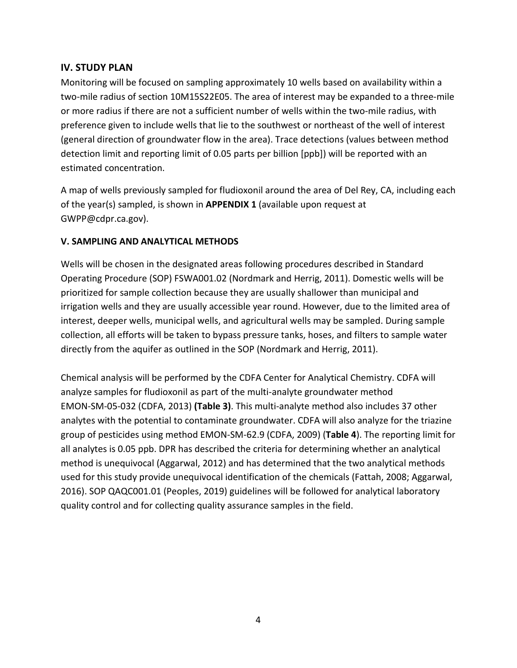## **IV. STUDY PLAN**

Monitoring will be focused on sampling approximately 10 wells based on availability within a two-mile radius of section 10M15S22E05. The area of interest may be expanded to a three-mile or more radius if there are not a sufficient number of wells within the two-mile radius, with preference given to include wells that lie to the southwest or northeast of the well of interest (general direction of groundwater flow in the area). Trace detections (values between method detection limit and reporting limit of 0.05 parts per billion [ppb]) will be reported with an estimated concentration.

A map of wells previously sampled for fludioxonil around the area of Del Rey, CA, including each of the year(s) sampled, is shown in **APPENDIX 1** (available upon request at GWPP@cdpr.ca.gov).

#### **V. SAMPLING AND ANALYTICAL METHODS**

Wells will be chosen in the designated areas following procedures described in Standard Operating Procedure (SOP) FSWA001.02 (Nordmark and Herrig, 2011). Domestic wells will be prioritized for sample collection because they are usually shallower than municipal and irrigation wells and they are usually accessible year round. However, due to the limited area of interest, deeper wells, municipal wells, and agricultural wells may be sampled. During sample collection, all efforts will be taken to bypass pressure tanks, hoses, and filters to sample water directly from the aquifer as outlined in the SOP (Nordmark and Herrig, 2011).

Chemical analysis will be performed by the CDFA Center for Analytical Chemistry. CDFA will analyze samples for fludioxonil as part of the multi-analyte groundwater method EMON-SM-05-032 (CDFA, 2013) (Table 3). This multi-analyte method also includes 37 other analytes with the potential to contaminate groundwater. CDFA will also analyze for the triazine group of pesticides using method EMON-SM-62.9 (CDFA, 2009) ( ). The reporting limit for **Table 4** all analytes is 0.05 ppb. DPR has described the criteria for determining whether an analytical method is unequivocal (Aggarwal, 2012) and has determined that the two analytical methods used for this study provide unequivocal identification of the chemicals (Fattah, 2008; Aggarwal, 2016). SOP QAQC001.01 (Peoples, 2019) guidelines will be followed for analytical laboratory quality control and for collecting quality assurance samples in the field.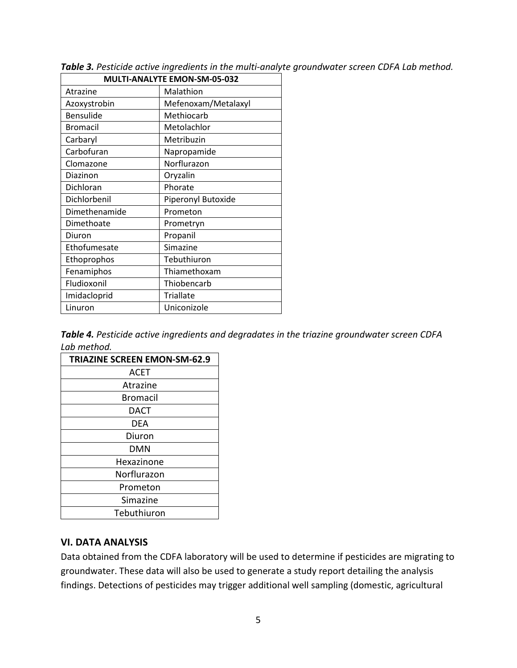| MULTI-ANALYTE EMON-SM-05-032 |                     |  |
|------------------------------|---------------------|--|
| Atrazine                     | Malathion           |  |
| Azoxystrobin                 | Mefenoxam/Metalaxyl |  |
| Bensulide                    | Methiocarb          |  |
| <b>Bromacil</b>              | Metolachlor         |  |
| Carbaryl                     | Metribuzin          |  |
| Carbofuran                   | Napropamide         |  |
| Clomazone                    | Norflurazon         |  |
| Diazinon                     | Oryzalin            |  |
| Dichloran                    | Phorate             |  |
| Dichlorbenil                 | Piperonyl Butoxide  |  |
| Dimethenamide                | Prometon            |  |
| Dimethoate                   | Prometryn           |  |
| Diuron                       | Propanil            |  |
| Ethofumesate                 | Simazine            |  |
| Ethoprophos                  | Tebuthiuron         |  |
| Fenamiphos                   | Thiamethoxam        |  |
| Fludioxonil                  | Thiobencarb         |  |
| Imidacloprid                 | <b>Triallate</b>    |  |
| Linuron                      | Uniconizole         |  |

*Table 3. Pesticide active ingredients in the multi-analyte groundwater screen CDFA Lab method.*

*Table 4. Pesticide active ingredients and degradates in the triazine groundwater screen CDFA Lab method.*

| <b>TRIAZINE SCREEN EMON-SM-62.9</b> |
|-------------------------------------|
| <b>ACET</b>                         |
| Atrazine                            |
| Bromacil                            |
| DACT                                |
| DEA                                 |
| Diuron                              |
| DMN                                 |
| Hexazinone                          |
| Norflurazon                         |
| Prometon                            |
| Simazine                            |
| Tebuthiuron                         |

#### **VI. DATA ANALYSIS**

Data obtained from the CDFA laboratory will be used to determine if pesticides are migrating to groundwater. These data will also be used to generate a study report detailing the analysis findings. Detections of pesticides may trigger additional well sampling (domestic, agricultural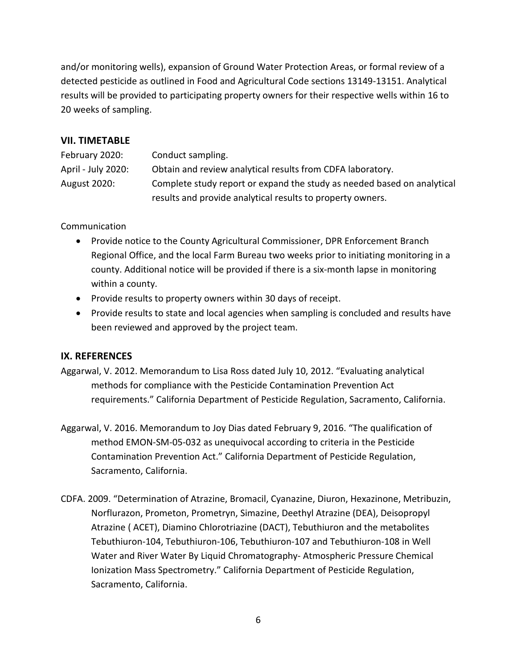and/or monitoring wells), expansion of Ground Water Protection Areas, or formal review of a detected pesticide as outlined in Food and Agricultural Code sections 13149-13151. Analytical results will be provided to participating property owners for their respective wells within 16 to 20 weeks of sampling.

## **VII. TIMETABLE**

| February 2020:     | Conduct sampling.                                                       |
|--------------------|-------------------------------------------------------------------------|
| April - July 2020: | Obtain and review analytical results from CDFA laboratory.              |
| August 2020:       | Complete study report or expand the study as needed based on analytical |
|                    | results and provide analytical results to property owners.              |

Communication

- Provide notice to the County Agricultural Commissioner, DPR Enforcement Branch Regional Office, and the local Farm Bureau two weeks prior to initiating monitoring in a county. Additional notice will be provided if there is a six-month lapse in monitoring within a county.
- Provide results to property owners within 30 days of receipt.
- Provide results to state and local agencies when sampling is concluded and results have been reviewed and approved by the project team.

# **IX. REFERENCES**

- Aggarwal, V. 2012. Memorandum to Lisa Ross dated July 10, 2012. "Evaluating analytical methods for compliance with the Pesticide Contamination Prevention Act requirements." California Department of Pesticide Regulation, Sacramento, California.
- Aggarwal, V. 2016. Memorandum to Joy Dias dated February 9, 2016. "The qualification of method EMON-SM-05-032 as unequivocal according to criteria in the Pesticide Contamination Prevention Act." California Department of Pesticide Regulation, Sacramento, California.
- CDFA. 2009. "Determination of Atrazine, Bromacil, Cyanazine, Diuron, Hexazinone, Metribuzin, Norflurazon, Prometon, Prometryn, Simazine, Deethyl Atrazine (DEA), Deisopropyl Atrazine ( ACET), Diamino Chlorotriazine (DACT), Tebuthiuron and the metabolites Tebuthiuron-104, Tebuthiuron-106, Tebuthiuron-107 and Tebuthiuron-108 in Well Water and River Water By Liquid Chromatography- Atmospheric Pressure Chemical Ionization Mass Spectrometry." California Department of Pesticide Regulation, Sacramento, California.